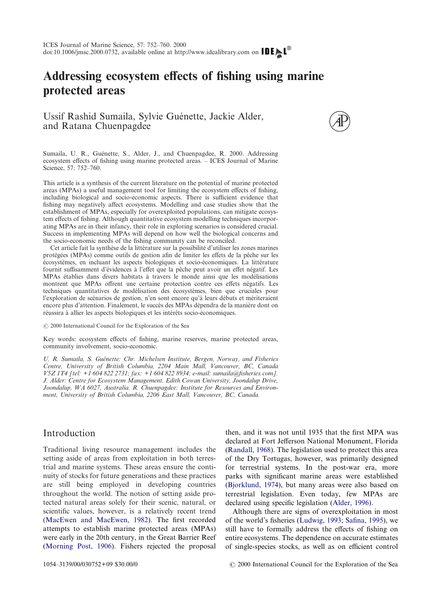# **Addressing ecosystem effects of fishing using marine protected areas**

## Ussif Rashid Sumaila, Sylvie Guénette, Jackie Alder, and Ratana Chuenpagdee



Sumaila, U. R., Guénette, S., Alder, J., and Chuenpagdee, R. 2000. Addressing ecosystem effects of fishing using marine protected areas. – ICES Journal of Marine Science, 57: 752–760.

This article is a synthesis of the current literature on the potential of marine protected areas (MPAs) a useful management tool for limiting the ecosystem effects of fishing, including biological and socio-economic aspects. There is sufficient evidence that fishing may negatively affect ecosystems. Modelling and case studies show that the establishment of MPAs, especially for overexploited populations, can mitigate ecosystem effects of fishing. Although quantitative ecosystem modelling techniques incorporating MPAs are in their infancy, their role in exploring scenarios is considered crucial. Success in implementing MPAs will depend on how well the biological concerns and the socio-economic needs of the fishing community can be reconciled.

Cet article fait la synthèse de la littérature sur la possibilité d'utiliser les zones marines protégées (MPAs) comme outils de gestion afin de limiter les effets de la pêche sur les écosystèmes, en incluant les aspects biologiques et socio-économiques. La littérature fournit suffisamment d'évidences à l'effet que la pêche peut avoir un effet négatif. Les MPAs établies dans divers habitats à travers le monde ainsi que les modélisations montrent que MPAs offrent une certaine protection contre ces effets négatifs. Les techniques quantitatives de modélisation des écosystèmes, bien que cruciales pour l'exploration de scénarios de gestion, n'en sont encore qu'à leurs débuts et mériteraient encore plus d'attention. Finalement, le succès des MPAs dépendra de la manière dont on réussira à allier les aspects biologiques et les intérêts socio-économiques.

2000 International Council for the Exploration of the Sea

Key words: ecosystem effects of fishing, marine reserves, marine protected areas, community involvement, socio-economic.

*U. R. Sumaila, S. Gue´nette: Chr. Michelsen Institute, Bergen, Norway, and Fisheries Centre, University of British Columbia, 2204 Main Mall, Vancouver, BC, Canada V5Z 1T4 [tel: +1 604 822 2731; fax: +1 604 822 8934; e-mail: sumaila@fisheries.com]. J. Alder: Centre for Ecosystem Management, Edith Cowan University, Joondalup Drive, Joondalup, WA 6027, Australia. R. Chuenpagdee: Institute for Resources and Environment, University of British Columbia, 2206 East Mall, Vancouver, BC, Canada.*

# Introduction

Traditional living resource management includes the setting aside of areas from exploitation in both terrestrial and marine systems. These areas ensure the continuity of stocks for future generations and these practices are still being employed in developing countries throughout the world. The notion of setting aside protected natural areas solely for their scenic, natural, or scientific values, however, is a relatively recent trend [\(MacEwen and MacEwen, 1982\)](#page-7-0). The first recorded attempts to establish marine protected areas (MPAs) were early in the 20th century, in the Great Barrier Reef [\(Morning Post, 1906\)](#page-7-1). Fishers rejected the proposal

then, and it was not until 1935 that the first MPA was declared at Fort Jefferson National Monument, Florida [\(Randall, 1968\)](#page-7-2). The legislation used to protect this area of the Dry Tortugas, however, was primarily designed for terrestrial systems. In the post-war era, more parks with significant marine areas were established [\(Bjorklund, 1974\)](#page-6-0), but many areas were also based on terrestrial legislation. Even today, few MPAs are declared using specific legislation [\(Alder, 1996\)](#page-6-1).

Although there are signs of overexploitation in most of the world's fisheries [\(Ludwig, 1993;](#page-7-2) [Safina, 1995\)](#page-8-0), we still have to formally address the effects of fishing on entire ecosystems. The dependence on accurate estimates of single-species stocks, as well as on efficient control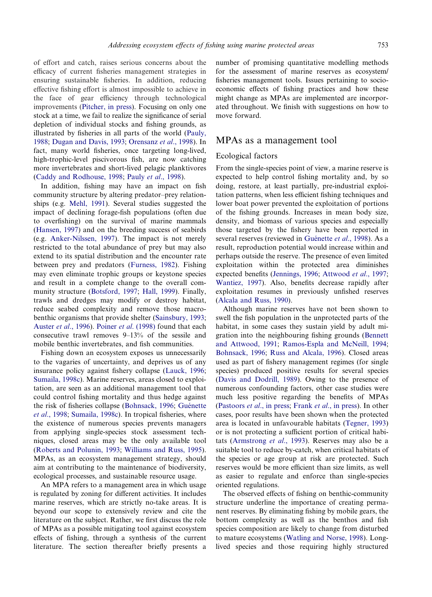of effort and catch, raises serious concerns about the efficacy of current fisheries management strategies in ensuring sustainable fisheries. In addition, reducing effective fishing effort is almost impossible to achieve in the face of gear efficiency through technological improvements [\(Pitcher, in press\)](#page-7-3). Focusing on only one stock at a time, we fail to realize the significance of serial depletion of individual stocks and fishing grounds, as illustrated by fisheries in all parts of the world [\(Pauly,](#page-7-4) [1988;](#page-7-4) [Dugan and Davis, 1993;](#page-6-2) [Orensanz](#page-7-5) *et al*., 1998). In fact, many world fisheries, once targeting long-lived, high-trophic-level piscivorous fish, are now catching more invertebrates and short-lived pelagic planktivores [\(Caddy and Rodhouse, 1998;](#page-6-3) Pauly *et al*[., 1998\)](#page-7-6).

In addition, fishing may have an impact on fish community structure by altering predator–prey relationships (e.g. [Mehl, 1991\)](#page-7-7). Several studies suggested the impact of declining forage-fish populations (often due to overfishing) on the survival of marine mammals [\(Hansen, 1997\)](#page-7-8) and on the breeding success of seabirds (e.g. [Anker-Nilssen, 1997\)](#page-6-4). The impact is not merely restricted to the total abundance of prey but may also extend to its spatial distribution and the encounter rate between prey and predators [\(Furness, 1982\)](#page-6-5). Fishing may even eliminate trophic groups or keystone species and result in a complete change to the overall community structure [\(Botsford, 1997;](#page-6-6) [Hall, 1999\)](#page-6-7). Finally, trawls and dredges may modify or destroy habitat, reduce seabed complexity and remove those macrobenthic organisms that provide shelter [\(Sainsbury, 1993;](#page-8-1) Auster *et al*[., 1996\)](#page-6-8). Poiner *et al*[. \(1998\)](#page-7-9) found that each consecutive trawl removes 9–13% of the sessile and mobile benthic invertebrates, and fish communities.

Fishing down an ecosystem exposes us unnecessarily to the vagaries of uncertainty, and deprives us of any insurance policy against fishery collapse [\(Lauck, 1996;](#page-7-10) [Sumaila, 1998c\)](#page-8-2). Marine reserves, areas closed to exploitation, are seen as an additional management tool that could control fishing mortality and thus hedge against the risk of fisheries collapse [\(Bohnsack, 1996;](#page-6-9) Guénette *et al*[., 1998;](#page-6-10) [Sumaila, 1998c\)](#page-8-2). In tropical fisheries, where the existence of numerous species prevents managers from applying single-species stock assessment techniques, closed areas may be the only available tool [\(Roberts and Polunin, 1993;](#page-7-11) [Williams and Russ, 1995\)](#page-8-3). MPAs, as an ecosystem management strategy, should aim at contributing to the maintenance of biodiversity, ecological processes, and sustainable resource usage.

An MPA refers to a management area in which usage is regulated by zoning for different activities. It includes marine reserves, which are strictly no-take areas. It is beyond our scope to extensively review and cite the literature on the subject. Rather, we first discuss the role of MPAs as a possible mitigating tool against ecosystem effects of fishing, through a synthesis of the current literature. The section thereafter briefly presents a

number of promising quantitative modelling methods for the assessment of marine reserves as ecosystem/ fisheries management tools. Issues pertaining to socioeconomic effects of fishing practices and how these might change as MPAs are implemented are incorporated throughout. We finish with suggestions on how to move forward.

## MPAs as a management tool

#### Ecological factors

From the single-species point of view, a marine reserve is expected to help control fishing mortality and, by so doing, restore, at least partially, pre-industrial exploitation patterns, when less efficient fishing techniques and lower boat power prevented the exploitation of portions of the fishing grounds. Increases in mean body size, density, and biomass of various species and especially those targeted by the fishery have been reported in several reserves (reviewed in Guénette *et al.*, 1998). As a result, reproduction potential would increase within and perhaps outside the reserve. The presence of even limited exploitation within the protected area diminishes expected benefits [\(Jennings, 1996;](#page-7-12) [Attwood](#page-6-11) *et al*., 1997; [Wantiez, 1997\)](#page-8-4). Also, benefits decrease rapidly after exploitation resumes in previously unfished reserves [\(Alcala and Russ, 1990\)](#page-6-12).

Although marine reserves have not been shown to swell the fish population in the unprotected parts of the habitat, in some cases they sustain yield by adult migration into the neighbouring fishing grounds [\(Bennett](#page-6-13) [and Attwood, 1991;](#page-6-13) [Ramos-Espla and McNeill, 1994;](#page-7-13) [Bohnsack, 1996;](#page-6-9) [Russ and Alcala, 1996\)](#page-7-14). Closed areas used as part of fishery management regimes (for single species) produced positive results for several species [\(Davis and Dodrill, 1989\)](#page-6-14). Owing to the presence of numerous confounding factors, other case studies were much less positive regarding the benefits of MPAs (Pastoors *et al*[., in press;](#page-7-15) Frank *et al*[., in press\)](#page-6-15). In other cases, poor results have been shown when the protected area is located in unfavourable habitats [\(Tegner, 1993\)](#page-8-5) or is not protecting a sufficient portion of critical habitats [\(Armstrong](#page-6-16) *et al*., 1993). Reserves may also be a suitable tool to reduce by-catch, when critical habitats of the species or age group at risk are protected. Such reserves would be more efficient than size limits, as well as easier to regulate and enforce than single-species oriented regulations.

The observed effects of fishing on benthic-community structure underline the importance of creating permanent reserves. By eliminating fishing by mobile gears, the bottom complexity as well as the benthos and fish species composition are likely to change from disturbed to mature ecosystems [\(Watling and Norse, 1998\)](#page-8-6). Longlived species and those requiring highly structured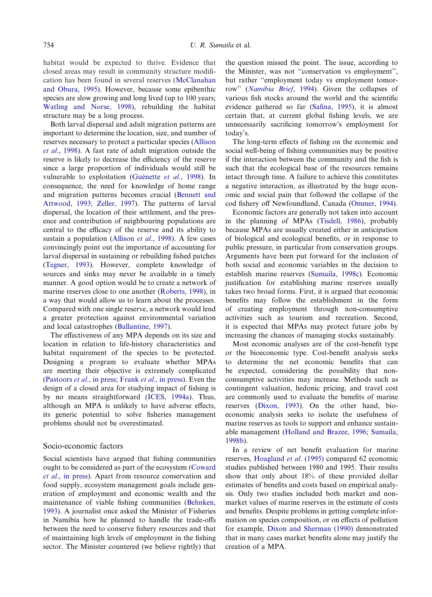habitat would be expected to thrive. Evidence that closed areas may result in community structure modification has been found in several reserves [\(McClanahan](#page-7-16) [and Obura, 1995\)](#page-7-16). However, because some epibenthic species are slow growing and long lived (up to 100 years; [Watling and Norse, 1998\)](#page-8-6), rebuilding the habitat structure may be a long process.

Both larval dispersal and adult migration patterns are important to determine the location, size, and number of reserves necessary to protect a particular species [\(Allison](#page-6-17) *et al*[., 1998\)](#page-6-17). A fast rate of adult migration outside the reserve is likely to decrease the efficiency of the reserve since a large proportion of individuals would still be vulnerable to exploitation (Guénette *et al.*, 1998). In consequence, the need for knowledge of home range and migration patterns becomes crucial [\(Bennett and](#page-6-19) [Attwood, 1993;](#page-6-19) [Zeller, 1997\)](#page-8-7). The patterns of larval dispersal, the location of their settlement, and the presence and contribution of neighbouring populations are central to the efficacy of the reserve and its ability to sustain a population [\(Allison](#page-6-17) *et al*., 1998). A few cases convincingly point out the importance of accounting for larval dispersal in sustaining or rebuilding fished patches [\(Tegner, 1993\)](#page-8-5). However, complete knowledge of sources and sinks may never be available in a timely manner. A good option would be to create a network of marine reserves close to one another [\(Roberts, 1998\)](#page-7-17), in a way that would allow us to learn about the processes. Compared with one single reserve, a network would lend a greater protection against environmental variation and local catastrophes [\(Ballantine, 1997\)](#page-6-20).

The effectiveness of any MPA depends on its size and location in relation to life-history characteristics and habitat requirement of the species to be protected. Designing a program to evaluate whether MPAs are meeting their objective is extremely complicated (Pastoors *et al*[., in press;](#page-7-15) Frank *et al*[., in press\)](#page-6-15). Even the design of a closed area for studying impact of fishing is by no means straightforward [\(ICES, 1994a\)](#page-7-18). Thus, although an MPA is unlikely to have adverse effects, its generic potential to solve fisheries management problems should not be overestimated.

#### Socio-economic factors

Social scientists have argued that fishing communities ought to be considered as part of the ecosystem [\(Coward](#page-6-21) *et al*[., in press\)](#page-6-21). Apart from resource conservation and food supply, ecosystem management goals include generation of employment and economic wealth and the maintenance of viable fishing communities [\(Behnken,](#page-6-22) [1993\)](#page-6-22). A journalist once asked the Minister of Fisheries in Namibia how he planned to handle the trade-offs between the need to conserve fishery resources and that of maintaining high levels of employment in the fishing sector. The Minister countered (we believe rightly) that

the question missed the point. The issue, according to the Minister, was not ''conservation vs employment'', but rather ''employment today vs employment tomorrow'' (*[Namibia Brief](#page-7-19)*, 1994). Given the collapses of various fish stocks around the world and the scientific evidence gathered so far [\(Safina, 1995\)](#page-8-0), it is almost certain that, at current global fishing levels, we are unnecessarily sacrificing tomorrow's employment for today's.

The long-term effects of fishing on the economic and social well-being of fishing communities may be positive if the interaction between the community and the fish is such that the ecological base of the resources remains intact through time. A failure to achieve this constitutes a negative interaction, as illustrated by the huge economic and social pain that followed the collapse of the cod fishery off Newfoundland, Canada [\(Ommer, 1994\)](#page-7-20).

Economic factors are generally not taken into account in the planning of MPAs [\(Tisdell, 1986\)](#page-8-8), probably because MPAs are usually created either in anticipation of biological and ecological benefits, or in response to public pressure, in particular from conservation groups. Arguments have been put forward for the inclusion of both social and economic variables in the decision to establish marine reserves [\(Sumaila, 1998c\)](#page-8-2). Economic justification for establishing marine reserves usually takes two broad forms. First, it is argued that economic benefits may follow the establishment in the form of creating employment through non-consumptive activities such as tourism and recreation. Second, it is expected that MPAs may protect future jobs by increasing the chances of managing stocks sustainably.

Most economic analyses are of the cost-benefit type or the bioeconomic type. Cost-benefit analysis seeks to determine the net economic benefits that can be expected, considering the possibility that nonconsumptive activities may increase. Methods such as contingent valuation, hedonic pricing, and travel cost are commonly used to evaluate the benefits of marine reserves [\(Dixon, 1993\)](#page-6-23). On the other hand, bioeconomic analysis seeks to isolate the usefulness of marine reserves as tools to support and enhance sustainable management [\(Holland and Brazee, 1996;](#page-7-21) [Sumaila,](#page-8-9) [1998b\)](#page-8-9).

In a review of net benefit evaluation for marine reserves, [Hoagland](#page-7-22) *et al*. (1995) compared 62 economic studies published between 1980 and 1995. Their results show that only about 18% of these provided dollar estimates of benefits and costs based on empirical analysis. Only two studies included both market and nonmarket values of marine reserves in the estimate of costs and benefits. Despite problems in getting complete information on species composition, or on effects of pollution for example, [Dixon and Sherman \(1990\)](#page-6-24) demonstrated that in many cases market benefits alone may justify the creation of a MPA.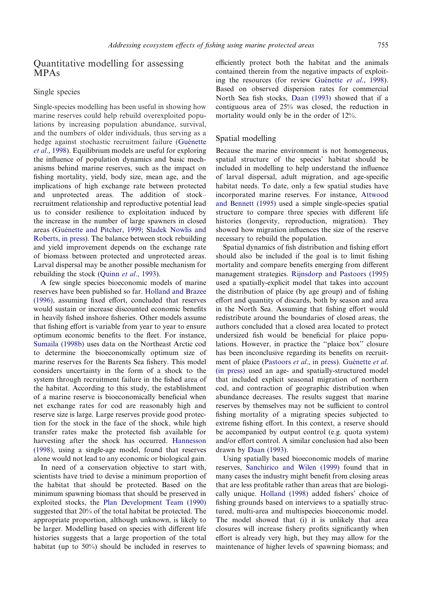## Quantitative modelling for assessing **MPAs**

## Single species

Single-species modelling has been useful in showing how marine reserves could help rebuild overexploited populations by increasing population abundance, survival, and the numbers of older individuals, thus serving as a hedge against stochastic recruitment failure (Guénette *et al*[., 1998\)](#page-6-18). Equilibrium models are useful for exploring the influence of population dynamics and basic mechanisms behind marine reserves, such as the impact on fishing mortality, yield, body size, mean age, and the implications of high exchange rate between protected and unprotected areas. The addition of stock– recruitment relationship and reproductive potential lead us to consider resilience to exploitation induced by the increase in the number of large spawners in closed areas (Guénette and Pitcher, 1999; [Sladek Nowlis and](#page-8-10) [Roberts, in press\)](#page-8-10). The balance between stock rebuilding and yield improvement depends on the exchange rate of biomass between protected and unprotected areas. Larval dispersal may be another possible mechanism for rebuilding the stock (Quinn *et al*[., 1993\)](#page-7-23).

A few single species bioeconomic models of marine reserves have been published so far. [Holland and Brazee](#page-7-21) [\(1996\),](#page-7-21) assuming fixed effort, concluded that reserves would sustain or increase discounted economic benefits in heavily fished inshore fisheries. Other models assume that fishing effort is variable from year to year to ensure optimum economic benefits to the fleet. For instance, [Sumaila \(1998b\)](#page-8-9) uses data on the Northeast Arctic cod to determine the bioeconomically optimum size of marine reserves for the Barents Sea fishery. This model considers uncertainty in the form of a shock to the system through recruitment failure in the fished area of the habitat. According to this study, the establishment of a marine reserve is bioeconomically beneficial when net exchange rates for cod are reasonably high and reserve size is large. Large reserves provide good protection for the stock in the face of the shock, while high transfer rates make the protected fish available for harvesting after the shock has occurred. [Hannesson](#page-6-26) [\(1998\),](#page-6-26) using a single-age model, found that reserves alone would not lead to any economic or biological gain.

In need of a conservation objective to start with, scientists have tried to devise a minimum proportion of the habitat that should be protected. Based on the minimum spawning biomass that should be preserved in exploited stocks, the [Plan Development Team \(1990\)](#page-7-24) suggested that 20% of the total habitat be protected. The appropriate proportion, although unknown, is likely to be larger. Modelling based on species with different life histories suggests that a large proportion of the total habitat (up to 50%) should be included in reserves to

efficiently protect both the habitat and the animals contained therein from the negative impacts of exploiting the resources (for review Guénette *et al.*, 1998). Based on observed dispersion rates for commercial North Sea fish stocks, [Daan \(1993\)](#page-6-27) showed that if a contiguous area of 25% was closed, the reduction in mortality would only be in the order of 12%.

#### Spatial modelling

Because the marine environment is not homogeneous, spatial structure of the species' habitat should be included in modelling to help understand the influence of larval dispersal, adult migration, and age-specific habitat needs. To date, only a few spatial studies have incorporated marine reserves. For instance, [Attwood](#page-6-28) [and Bennett \(1995\)](#page-6-28) used a simple single-species spatial structure to compare three species with different life histories (longevity, reproduction, migration). They showed how migration influences the size of the reserve necessary to rebuild the population.

Spatial dynamics of fish distribution and fishing effort should also be included if the goal is to limit fishing mortality and compare benefits emerging from different management strategies. [Rijnsdorp and Pastoors \(1995\)](#page-7-25) used a spatially-explicit model that takes into account the distribution of plaice (by age group) and of fishing effort and quantity of discards, both by season and area in the North Sea. Assuming that fishing effort would redistribute around the boundaries of closed areas, the authors concluded that a closed area located to protect undersized fish would be beneficial for plaice populations. However, in practice the ''plaice box'' closure has been inconclusive regarding its benefits on recruitment of plaice (Pastoors *et al.*, in press). Guénette *et al.* [\(in press\)](#page-6-10) used an age- and spatially-structured model that included explicit seasonal migration of northern cod, and contraction of geographic distribution when abundance decreases. The results suggest that marine reserves by themselves may not be sufficient to control fishing mortality of a migrating species subjected to extreme fishing effort. In this context, a reserve should be accompanied by output control (e.g. quota system) and/or effort control. A similar conclusion had also been drawn by [Daan \(1993\).](#page-6-27)

Using spatially based bioeconomic models of marine reserves, [Sanchirico and Wilen \(1999\)](#page-8-11) found that in many cases the industry might benefit from closing areas that are less profitable rather than areas that are biologically unique. [Holland \(1998\)](#page-7-26) added fishers' choice of fishing grounds based on interviews to a spatially structured, multi-area and multispecies bioeconomic model. The model showed that (i) it is unlikely that area closures will increase fishery profits significantly when effort is already very high, but they may allow for the maintenance of higher levels of spawning biomass; and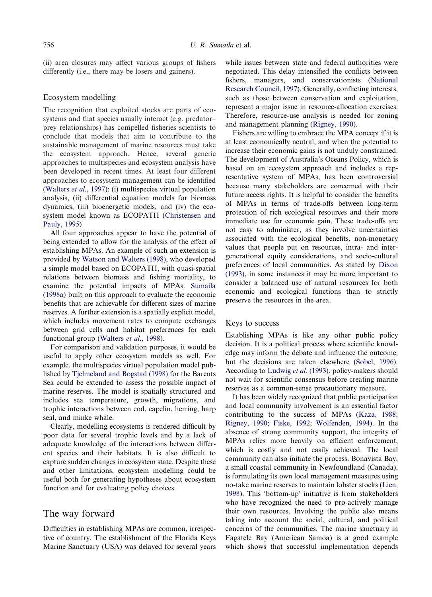(ii) area closures may affect various groups of fishers differently (i.e., there may be losers and gainers).

#### Ecosystem modelling

The recognition that exploited stocks are parts of ecosystems and that species usually interact (e.g. predator– prey relationships) has compelled fisheries scientists to conclude that models that aim to contribute to the sustainable management of marine resources must take the ecosystem approach. Hence, several generic approaches to multispecies and ecosystem analysis have been developed in recent times. At least four different approaches to ecosystem management can be identified [\(Walters](#page-8-12) *et al*., 1997): (i) multispecies virtual population analysis, (ii) differential equation models for biomass dynamics, (iii) bioenergetic models, and (iv) the ecosystem model known as ECOPATH [\(Christensen and](#page-6-29) [Pauly, 1995\)](#page-6-29)

All four approaches appear to have the potential of being extended to allow for the analysis of the effect of establishing MPAs. An example of such an extension is provided by [Watson and Walters \(1998\),](#page-8-13) who developed a simple model based on ECOPATH, with quasi-spatial relations between biomass and fishing mortality, to examine the potential impacts of MPAs. [Sumaila](#page-8-14) [\(1998a\)](#page-8-14) built on this approach to evaluate the economic benefits that are achievable for different sizes of marine reserves. A further extension is a spatially explicit model, which includes movement rates to compute exchanges between grid cells and habitat preferences for each functional group [\(Walters](#page-8-15) *et al*., 1998).

For comparison and validation purposes, it would be useful to apply other ecosystem models as well. For example, the multispecies virtual population model published by [Tjelmeland and Bogstad \(1998\)](#page-8-16) for the Barents Sea could be extended to assess the possible impact of marine reserves. The model is spatially structured and includes sea temperature, growth, migrations, and trophic interactions between cod, capelin, herring, harp seal, and minke whale.

Clearly, modelling ecosystems is rendered difficult by poor data for several trophic levels and by a lack of adequate knowledge of the interactions between different species and their habitats. It is also difficult to capture sudden changes in ecosystem state. Despite these and other limitations, ecosystem modelling could be useful both for generating hypotheses about ecosystem function and for evaluating policy choices.

## The way forward

Difficulties in establishing MPAs are common, irrespective of country. The establishment of the Florida Keys Marine Sanctuary (USA) was delayed for several years while issues between state and federal authorities were negotiated. This delay intensified the conflicts between fishers, managers, and conservationists [\(National](#page-7-27) [Research Council, 1997\)](#page-7-27). Generally, conflicting interests, such as those between conservation and exploitation, represent a major issue in resource-allocation exercises. Therefore, resource-use analysis is needed for zoning and management planning [\(Rigney, 1990\)](#page-7-28).

Fishers are willing to embrace the MPA concept if it is at least economically neutral, and when the potential to increase their economic gains is not unduly constrained. The development of Australia's Oceans Policy, which is based on an ecosystem approach and includes a representative system of MPAs, has been controversial because many stakeholders are concerned with their future access rights. It is helpful to consider the benefits of MPAs in terms of trade-offs between long-term protection of rich ecological resources and their more immediate use for economic gain. These trade-offs are not easy to administer, as they involve uncertainties associated with the ecological benefits, non-monetary values that people put on resources, intra- and intergenerational equity considerations, and socio-cultural preferences of local communities. As stated by [Dixon](#page-6-23) [\(1993\),](#page-6-23) in some instances it may be more important to consider a balanced use of natural resources for both economic and ecological functions than to strictly preserve the resources in the area.

#### Keys to success

Establishing MPAs is like any other public policy decision. It is a political process where scientific knowledge may inform the debate and influence the outcome, but the decisions are taken elsewhere [\(Sobel, 1996\)](#page-8-17). According to Ludwig *et al*[. \(1993\),](#page-7-2) policy-makers should not wait for scientific consensus before creating marine reserves as a common-sense precautionary measure.

It has been widely recognized that public participation and local community involvement is an essential factor contributing to the success of MPAs [\(Kaza, 1988;](#page-7-29) [Rigney, 1990;](#page-7-28) [Fiske, 1992;](#page-6-30) [Wolfenden, 1994\)](#page-8-18). In the absence of strong community support, the integrity of MPAs relies more heavily on efficient enforcement, which is costly and not easily achieved. The local community can also initiate the process. Bonavista Bay, a small coastal community in Newfoundland (Canada), is formulating its own local management measures using no-take marine reserves to maintain lobster stocks [\(Lien,](#page-7-30) [1998\)](#page-7-30). This 'bottom-up' initiative is from stakeholders who have recognized the need to pro-actively manage their own resources. Involving the public also means taking into account the social, cultural, and political concerns of the communities. The marine sanctuary in Fagatele Bay (American Samoa) is a good example which shows that successful implementation depends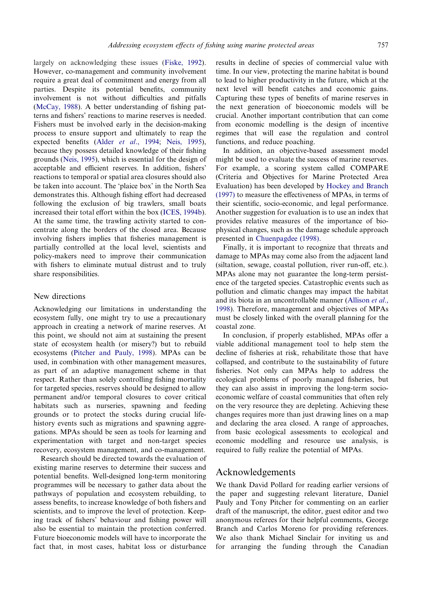largely on acknowledging these issues [\(Fiske, 1992\)](#page-6-30). However, co-management and community involvement require a great deal of commitment and energy from all parties. Despite its potential benefits, community involvement is not without difficulties and pitfalls [\(McCay, 1988\)](#page-7-31). A better understanding of fishing patterns and fishers' reactions to marine reserves is needed. Fishers must be involved early in the decision-making process to ensure support and ultimately to reap the expected benefits (Alder *et al*[., 1994;](#page-6-31) [Neis, 1995\)](#page-7-32), because they possess detailed knowledge of their fishing grounds [\(Neis, 1995\)](#page-7-32), which is essential for the design of acceptable and efficient reserves. In addition, fishers' reactions to temporal or spatial area closures should also be taken into account. The 'plaice box' in the North Sea demonstrates this. Although fishing effort had decreased following the exclusion of big trawlers, small boats increased their total effort within the box [\(ICES, 1994b\)](#page-7-33). At the same time, the trawling activity started to concentrate along the borders of the closed area. Because involving fishers implies that fisheries management is partially controlled at the local level, scientists and policy-makers need to improve their communication with fishers to eliminate mutual distrust and to truly share responsibilities.

### New directions

Acknowledging our limitations in understanding the ecosystem fully, one might try to use a precautionary approach in creating a network of marine reserves. At this point, we should not aim at sustaining the present state of ecosystem health (or misery?) but to rebuild ecosystems [\(Pitcher and Pauly, 1998\)](#page-7-34). MPAs can be used, in combination with other management measures, as part of an adaptive management scheme in that respect. Rather than solely controlling fishing mortality for targeted species, reserves should be designed to allow permanent and/or temporal closures to cover critical habitats such as nurseries, spawning and feeding grounds or to protect the stocks during crucial lifehistory events such as migrations and spawning aggregations. MPAs should be seen as tools for learning and experimentation with target and non-target species recovery, ecosystem management, and co-management.

Research should be directed towards the evaluation of existing marine reserves to determine their success and potential benefits. Well-designed long-term monitoring programmes will be necessary to gather data about the pathways of population and ecosystem rebuilding, to assess benefits, to increase knowledge of both fishers and scientists, and to improve the level of protection. Keeping track of fishers' behaviour and fishing power will also be essential to maintain the protection conferred. Future bioeconomic models will have to incorporate the fact that, in most cases, habitat loss or disturbance results in decline of species of commercial value with time. In our view, protecting the marine habitat is bound to lead to higher productivity in the future, which at the next level will benefit catches and economic gains. Capturing these types of benefits of marine reserves in the next generation of bioeconomic models will be crucial. Another important contribution that can come from economic modelling is the design of incentive regimes that will ease the regulation and control functions, and reduce poaching.

In addition, an objective-based assessment model might be used to evaluate the success of marine reserves. For example, a scoring system called COMPARE (Criteria and Objectives for Marine Protected Area Evaluation) has been developed by [Hockey and Branch](#page-7-35) [\(1997\)](#page-7-35) to measure the effectiveness of MPAs, in terms of their scientific, socio-economic, and legal performance. Another suggestion for evaluation is to use an index that provides relative measures of the importance of biophysical changes, such as the damage schedule approach presented in [Chuenpagdee \(1998\).](#page-6-32)

Finally, it is important to recognize that threats and damage to MPAs may come also from the adjacent land (siltation, sewage, coastal pollution, river run-off, etc.). MPAs alone may not guarantee the long-term persistence of the targeted species. Catastrophic events such as pollution and climatic changes may impact the habitat and its biota in an uncontrollable manner [\(Allison](#page-6-17) *et al*., [1998\)](#page-6-17). Therefore, management and objectives of MPAs must be closely linked with the overall planning for the coastal zone.

In conclusion, if properly established, MPAs offer a viable additional management tool to help stem the decline of fisheries at risk, rehabilitate those that have collapsed, and contribute to the sustainability of future fisheries. Not only can MPAs help to address the ecological problems of poorly managed fisheries, but they can also assist in improving the long-term socioeconomic welfare of coastal communities that often rely on the very resource they are depleting. Achieving these changes requires more than just drawing lines on a map and declaring the area closed. A range of approaches, from basic ecological assessments to ecological and economic modelling and resource use analysis, is required to fully realize the potential of MPAs.

## Acknowledgements

We thank David Pollard for reading earlier versions of the paper and suggesting relevant literature, Daniel Pauly and Tony Pitcher for commenting on an earlier draft of the manuscript, the editor, guest editor and two anonymous referees for their helpful comments, George Branch and Carlos Moreno for providing references. We also thank Michael Sinclair for inviting us and for arranging the funding through the Canadian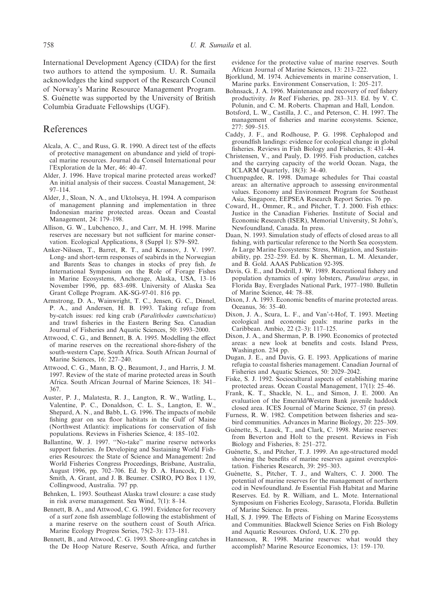International Development Agency (CIDA) for the first two authors to attend the symposium. U. R. Sumaila acknowledges the kind support of the Research Council of Norway's Marine Resource Management Program. S. Guénette was supported by the University of British Columbia Graduate Fellowships (UGF).

## References

- <span id="page-6-12"></span>Alcala, A. C., and Russ, G. R. 1990. A direct test of the effects of protective management on abundance and yield of tropical marine resources. Journal du Conseil International pour l'Exploration de la Mer, 46: 40–47.
- <span id="page-6-1"></span>Alder, J. 1996. Have tropical marine protected areas worked? An initial analysis of their success. Coastal Management, 24: 97–114.
- <span id="page-6-31"></span>Alder, J., Sloan, N. A., and Uktolseya, H. 1994. A comparison of management planning and implementation in three Indonesian marine protected areas. Ocean and Coastal Management, 24: 179–198.
- <span id="page-6-17"></span>Allison, G. W., Lubchenco, J., and Carr, M. H. 1998. Marine reserves are necessary but not sufficient for marine conservation. Ecological Applications, 8 (Suppl 1): S79–S92.
- <span id="page-6-4"></span>Anker-Nilssen, T., Barret, R. T., and Krasnov, J. V. 1997. Long- and short-term responses of seabirds in the Norwegian and Barents Seas to changes in stocks of prey fish. *In* International Symposium on the Role of Forage Fishes in Marine Ecosystems, Anchorage, Alaska, USA, 13–16 November 1996, pp. 683–698. University of Alaska Sea Grant College Program. AK-SG-97-01. 816 pp.
- <span id="page-6-16"></span>Armstrong, D. A., Wainwright, T. C., Jensen, G. C., Dinnel, P. A., and Andersen, H. B. 1993. Taking refuge from by-catch issues: red king crab (*Paralithodes camtschaticus*) and trawl fisheries in the Eastern Bering Sea. Canadian Journal of Fisheries and Aquatic Sciences, 50: 1993–2000.
- <span id="page-6-28"></span>Attwood, C. G., and Bennett, B. A. 1995. Modelling the effect of marine reserves on the recreational shore-fishery of the south-western Cape, South Africa. South African Journal of Marine Sciences, 16: 227–240.
- <span id="page-6-11"></span>Attwood, C. G., Mann, B. Q., Beaumont, J., and Harris, J. M. 1997. Review of the state of marine protected areas in South Africa. South African Journal of Marine Sciences, 18: 341– 367.
- <span id="page-6-8"></span>Auster, P. J., Malatesta, R. J., Langton, R. W., Watling, L., Valentine, P. C., Donaldson, C. L. S., Langton, E. W., Shepard, A. N., and Babb, L. G. 1996. The impacts of mobile fishing gear on sea floor habitats in the Gulf of Maine (Northwest Atlantic): implications for conservation of fish populations. Reviews in Fisheries Science, 4: 185–102.
- <span id="page-6-20"></span>Ballantine, W. J. 1997. ''No-take'' marine reserve networks support fisheries. *In* Developing and Sustaining World Fisheries Resources: the State of Science and Management: 2nd World Fisheries Congress Proceedings, Brisbane, Australia, August 1996, pp. 702–706. Ed. by D. A. Hancock, D. C. Smith, A. Grant, and J. B. Beumer. CSIRO, PO Box 1 139, Collingwood, Australia. 797 pp.
- <span id="page-6-22"></span>Behnken, L. 1993. Southeast Alaska trawl closure: a case study in risk averse management. Sea Wind, 7(1): 8–14.
- <span id="page-6-13"></span>Bennett, B. A., and Attwood, C. G. 1991. Evidence for recovery of a surf zone fish assemblage following the establishment of a marine reserve on the southern coast of South Africa. Marine Ecology Progress Series, 75(2–3): 173–181.
- <span id="page-6-19"></span>Bennett, B., and Attwood, C. G. 1993. Shore-angling catches in the De Hoop Nature Reserve, South Africa, and further

evidence for the protective value of marine reserves. South African Journal of Marine Sciences, 13: 213–222.

- <span id="page-6-0"></span>Bjorklund, M. 1974. Achievements in marine conservation, 1. Marine parks. Environment Conservation, 1: 205–217.
- <span id="page-6-9"></span>Bohnsack, J. A. 1996. Maintenance and recovery of reef fishery productivity. *In* Reef Fisheries, pp. 283–313. Ed. by V. C. Polunin, and C. M. Roberts. Chapman and Hall, London.
- <span id="page-6-6"></span>Botsford, L. W., Castilla, J. C., and Peterson, C. H. 1997. The management of fisheries and marine ecosystems. Science, 277: 509–515.
- <span id="page-6-3"></span>Caddy, J. F., and Rodhouse, P. G. 1998. Cephalopod and groundfish landings: evidence for ecological change in global fisheries. Reviews in Fish Biology and Fisheries, 8: 431–44.
- <span id="page-6-29"></span>Christensen, V., and Pauly, D. 1995. Fish production, catches and the carrying capacity of the world Ocean. Naga, the ICLARM Quarterly, 18(3): 34–40.
- <span id="page-6-32"></span>Chuenpagdee, R. 1998. Damage schedules for Thai coastal areas: an alternative approach to assessing environmental values. Economy and Environment Program for Southeast Asia, Singapore, EEPSEA Research Report Series. 76 pp.
- <span id="page-6-21"></span>Coward, H., Ommer, R., and Pitcher, T. J. 2000. Fish ethics: Justice in the Canadian Fisheries. Institute of Social and Economic Research (ISER), Memorial University, St John's, Newfoundland, Canada. In press.
- <span id="page-6-27"></span>Daan, N. 1993. Simulation study of effects of closed areas to all fishing, with particular reference to the North Sea ecosystem. *In* Large Marine Ecosystems: Stress, Mitigation, and Sustainability, pp. 252–259. Ed. by K. Sherman, L. M. Alexander, and B. Gold. AAAS Publication 92-39S.
- <span id="page-6-14"></span>Davis, G. E., and Dodrill, J. W. 1989. Recreational fishery and population dynamics of spiny lobsters, *Panulirus argus*, in Florida Bay, Everglades National Park, 1977–1980. Bulletin of Marine Science, 44: 78–88.
- <span id="page-6-23"></span>Dixon, J. A. 1993. Economic benefits of marine protected areas. Oceanus, 36: 35–40.
- Dixon, J. A., Scura, L. F., and Van'-t-Hof, T. 1993. Meeting ecological and economic goals: marine parks in the Caribbean. Ambio, 22 (2–3): 117–125.
- <span id="page-6-24"></span>Dixon, J. A., and Sherman, P. B. 1990. Economics of protected areas: a new look at benefits and costs. Island Press, Washington. 234 pp.
- <span id="page-6-2"></span>Dugan, J. E., and Davis, G. E. 1993. Applications of marine refugia to coastal fisheries management. Canadian Journal of Fisheries and Aquatic Sciences, 50: 2029–2042.
- <span id="page-6-30"></span>Fiske, S. J. 1992. Sociocultural aspects of establishing marine protected areas. Ocean Coastal Management, 17(1): 25–46.
- <span id="page-6-15"></span>Frank, K. T., Shackle, N. L., and Simon, J. E. 2000. An evaluation of the Emerald/Western Bank juvenile haddock closed area. ICES Journal of Marine Science, 57 (in press).
- <span id="page-6-5"></span>Furness, R. W. 1982. Competition between fisheries and seabird communities. Advances in Marine Biology, 20: 225–309.
- <span id="page-6-18"></span>Guénette, S., Lauck, T., and Clark, C. 1998. Marine reserves: from Beverton and Holt to the present. Reviews in Fish Biology and Fisheries, 8: 251–272.
- <span id="page-6-25"></span>Guénette, S., and Pitcher, T. J. 1999. An age-structured model showing the benefits of marine reserves against overexploitation. Fisheries Research, 39: 295–303.
- <span id="page-6-10"></span>Guénette, S., Pitcher, T. J., and Walters, C. J. 2000. The potential of marine reserves for the management of northern cod in Newfoundland. *In* Essential Fish Habitat and Marine Reserves. Ed. by R. William, and L. Mote. International Symposium on Fisheries Ecology, Sarasota, Florida. Bulletin of Marine Science. In press.
- <span id="page-6-7"></span>Hall, S. J. 1999. The Effects of Fishing on Marine Ecosystems and Communities. Blackwell Science Series on Fish Biology and Aquatic Resources. Oxford, U.K. 270 pp.
- <span id="page-6-26"></span>Hannesson, R. 1998. Marine reserves: what would they accomplish? Marine Resource Economics, 13: 159–170.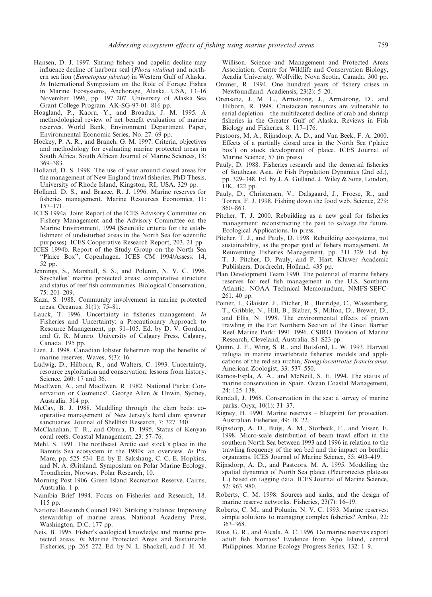- <span id="page-7-8"></span>Hansen, D. J. 1997. Shrimp fishery and capelin decline may influence decline of harbour seal (*Phoca vitulina*) and northern sea lion (*Eumetopias jubatus*) in Western Gulf of Alaska. *In* International Symposium on the Role of Forage Fishes in Marine Ecosystems, Anchorage, Alaska, USA, 13–16 November 1996, pp. 197–207. University of Alaska Sea Grant College Program. AK-SG-97-01. 816 pp.
- <span id="page-7-22"></span>Hoagland, P., Kaoru, Y., and Broadus, J. M. 1995. A methodological review of net benefit evaluation of marine reserves. World Bank, Environment Department Paper, Environmental Economic Series, No. 27. 69 pp.
- <span id="page-7-35"></span>Hockey, P. A. R., and Branch, G. M. 1997. Criteria, objectives and methodology for evaluating marine protected areas in South Africa. South African Journal of Marine Sciences, 18: 369–383.
- <span id="page-7-26"></span>Holland, D. S. 1998. The use of year around closed areas for the management of New England trawl fisheries. PhD Thesis, University of Rhode Island, Kingston, RI, USA. 329 pp.
- <span id="page-7-21"></span>Holland, D. S., and Brazee, R. J. 1996. Marine reserves for fisheries management. Marine Resources Economics, 11: 157–171.
- <span id="page-7-18"></span>ICES 1994a. Joint Report of the ICES Advisory Committee on Fishery Management and the Advisory Committee on the Marine Environment, 1994 (Scientific criteria for the establishment of undisturbed areas in the North Sea for scientific purposes). ICES Cooperative Research Report, 203. 21 pp.
- <span id="page-7-33"></span>ICES 1994b. Report of the Study Group on the North Sea ''Plaice Box'', Copenhagen. ICES CM 1994/Assess: 14, 52 pp.
- <span id="page-7-12"></span>Jennings, S., Marshall, S. S., and Polunin, N. V. C. 1996. Seychelles' marine protected areas: comparative structure and status of reef fish communities. Biological Conservation, 75: 201–209.
- <span id="page-7-29"></span>Kaza, S. 1988. Community involvement in marine protected areas. Oceanus, 31(1): 75–81.
- <span id="page-7-10"></span>Lauck, T. 1996. Uncertainty in fisheries management. *In* Fisheries and Uncertainty: a Precautionary Approach to Resource Management, pp. 91–105. Ed. by D. V. Gordon, and G. R. Munro. University of Calgary Press, Calgary, Canada. 195 pp.
- <span id="page-7-30"></span>Lien, J. 1998. Canadian lobster fishermen reap the benefits of marine reserves. Waves, 5(3): 16.
- <span id="page-7-2"></span>Ludwig, D., Hilborn, R., and Walters, C. 1993. Uncertainty, resource exploitation and conservation: lessons from history. Science, 260: 17 and 36.
- <span id="page-7-0"></span>MacEwen, A., and MacEwen, R. 1982. National Parks: Conservation or Cosmetics?. George Allen & Unwin, Sydney, Australia. 314 pp.
- <span id="page-7-31"></span>McCay, B. J. 1988. Muddling through the clam beds: cooperative management of New Jersey's hard clam spawner sanctuaries. Journal of Shellfish Research, 7: 327–340.
- <span id="page-7-16"></span>McClanahan, T. R., and Obura, D. 1995. Status of Kenyan coral reefs. Coastal Management, 23: 57–76.
- <span id="page-7-7"></span>Mehl, S. 1991. The northeast Arctic cod stock's place in the Barents Sea ecosystem in the 1980s: an overview. *In* Pro Mare, pp. 525–534. Ed. by E. Sakshaug, C. C. E. Hopkins, and N. A. Øritsland. Symposium on Polar Marine Ecology. Trondheim, Norway. Polar Research, 10.
- <span id="page-7-1"></span>Morning Post 1906. Green Island Recreation Reserve. Cairns, Australia. 1 p.
- <span id="page-7-19"></span>Namibia Brief 1994. Focus on Fisheries and Research, 18. 115 pp.
- <span id="page-7-27"></span>National Research Council 1997. Striking a balance: Improving stewardship of marine areas. National Academy Press, Washington, D.C. 177 pp.
- <span id="page-7-32"></span>Neis, B. 1995. Fisher's ecological knowledge and marine protected areas. *In* Marine Protected Areas and Sustainable Fisheries, pp. 265–272. Ed. by N. L. Shackell, and J. H. M.

Willison. Science and Management and Protected Areas Association, Centre for Wildlife and Conservation Biology, Acadia University, Wolfville, Nova Scotia, Canada. 300 pp.

- <span id="page-7-20"></span>Ommer, R. 1994. One hundred years of fishery crises in Newfoundland. Acadiensis, 23(2): 5–20.
- <span id="page-7-5"></span>Orensanz, J. M. L., Armstrong, J., Armstrong, D., and Hilborn, R. 1998. Crustacean resources are vulnerable to serial depletion – the multifaceted decline of crab and shrimp fisheries in the Greater Gulf of Alaska. Reviews in Fish Biology and Fisheries, 8: 117–176.
- <span id="page-7-15"></span>Pastoors, M. A., Rijnsdorp, A. D., and Van Beek, F. A. 2000. Effects of a partially closed area in the North Sea ('plaice box') on stock development of plaice. ICES Journal of Marine Science, 57 (in press).
- <span id="page-7-4"></span>Pauly, D. 1988. Fisheries research and the demersal fisheries of Southeast Asia. *In* Fish Population Dynamics (2nd ed.), pp. 329–348. Ed. by J. A. Gulland. J. Wiley & Sons, London, UK. 422 pp.
- <span id="page-7-6"></span>Pauly, D., Christensen, V., Dalsgaard, J., Froese, R., and Torres, F. J. 1998. Fishing down the food web. Science, 279: 860–863.
- <span id="page-7-3"></span>Pitcher, T. J. 2000. Rebuilding as a new goal for fisheries management: reconstructing the past to salvage the future. Ecological Applications. In press.
- <span id="page-7-34"></span>Pitcher, T. J., and Pauly, D. 1998. Rebuilding ecosystems, not sustainability, as the proper goal of fishery management. *In* Reinventing Fisheries Management, pp. 311–329. Ed. by T. J. Pitcher, D. Pauly, and P. Hart. Kluwer Academic Publishers, Dordrecht, Holland. 435 pp.
- <span id="page-7-24"></span>Plan Development Team 1990. The potential of marine fishery reserves for reef fish management in the U.S. Southern Atlantic. NOAA Technical Memorandum, NMFS-SEFC-261. 40 pp.
- <span id="page-7-9"></span>Poiner, I., Glaister, J., Pitcher, R., Burridge, C., Wassenberg, T., Gribble, N., Hill, B., Blaber, S., Milton, D., Brewer, D., and Ellis, N. 1998. The environmental effects of prawn trawling in the Far Northern Section of the Great Barrier Reef Marine Park: 1991–1996. CSIRO Division of Marine Research, Cleveland, Australia. S1–S23 pp.
- <span id="page-7-23"></span>Quinn, J. F., Wing, S. R., and Botsford, L. W. 1993. Harvest refugia in marine invertebrate fisheries: models and applications of the red sea urchin, *Stongylocentrotus franciscanus*. American Zoologist, 33: 537–550.
- <span id="page-7-13"></span>Ramos-Espla, A. A., and McNeill, S. E. 1994. The status of marine conservation in Spain. Ocean Coastal Management, 24: 125–138.
- Randall, J. 1968. Conservation in the sea: a survey of marine parks. Oryx, 10(1): 31–37.
- <span id="page-7-28"></span>Rigney, H. 1990. Marine reserves – blueprint for protection. Australian Fisheries, 49: 18–22.
- Rijnsdorp, A. D., Buijs, A. M., Storbeck, F., and Visser, E. 1998. Micro-scale distribution of beam trawl effort in the southern North Sea between 1993 and 1996 in relation to the trawling frequency of the sea bed and the impact on benthic organisms. ICES Journal of Marine Science, 55: 403–419.
- <span id="page-7-25"></span>Rijnsdorp, A. D., and Pastoors, M. A. 1995. Modelling the spatial dynamics of North Sea plaice (Pleuronectes platessa L.) based on tagging data. ICES Journal of Marine Science, 52: 963–980.
- <span id="page-7-17"></span>Roberts, C. M. 1998. Sources and sinks, and the design of marine reserve networks. Fisheries, 23(7): 16–19.
- <span id="page-7-11"></span>Roberts, C. M., and Polunin, N. V. C. 1993. Marine reserves: simple solutions to managing complex fisheries? Ambio, 22: 363–368.
- <span id="page-7-14"></span>Russ, G. R., and Alcala, A. C. 1996. Do marine reserves export adult fish biomass? Evidence from Apo Island, central Philippines. Marine Ecology Progress Series, 132: 1–9.